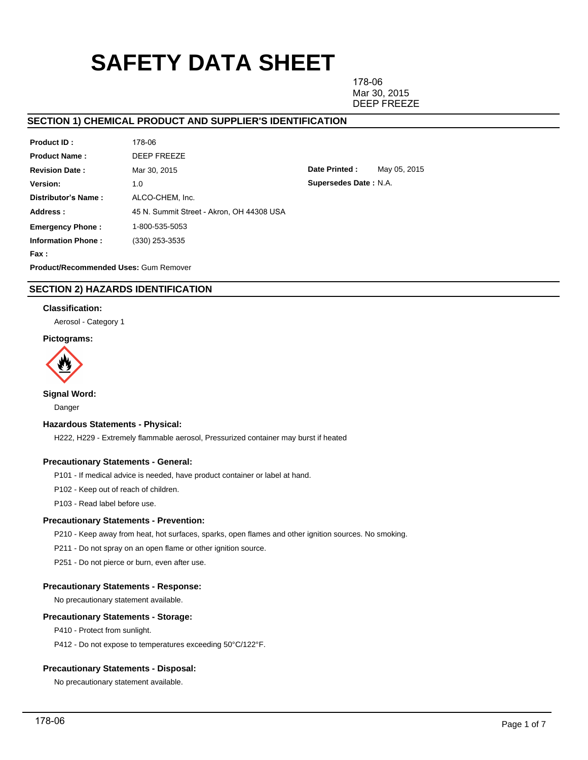# **SAFETY DATA SHEET**

178-06 Mar 30, 2015 DEEP FREEZE

**Date Printed :** May 05, 2015

**Supersedes Date :** N.A.

# **SECTION 1) CHEMICAL PRODUCT AND SUPPLIER'S IDENTIFICATION**

| Product ID:               | 178-06                                    |
|---------------------------|-------------------------------------------|
| <b>Product Name:</b>      | DEEP FREEZE                               |
| <b>Revision Date:</b>     | Mar 30, 2015                              |
| Version:                  | 1.0                                       |
| Distributor's Name:       | ALCO-CHEM. Inc.                           |
| Address:                  | 45 N. Summit Street - Akron, OH 44308 USA |
| <b>Emergency Phone:</b>   | 1-800-535-5053                            |
| <b>Information Phone:</b> | (330) 253-3535                            |
| Fax :                     |                                           |

**Product/Recommended Uses:** Gum Remover

# **SECTION 2) HAZARDS IDENTIFICATION**

# **Classification:**

Aerosol - Category 1

# **Pictograms:**



**Signal Word:**

Danger

## **Hazardous Statements - Physical:**

H222, H229 - Extremely flammable aerosol, Pressurized container may burst if heated

## **Precautionary Statements - General:**

P101 - If medical advice is needed, have product container or label at hand.

P102 - Keep out of reach of children.

P103 - Read label before use.

## **Precautionary Statements - Prevention:**

P210 - Keep away from heat, hot surfaces, sparks, open flames and other ignition sources. No smoking.

P211 - Do not spray on an open flame or other ignition source.

P251 - Do not pierce or burn, even after use.

## **Precautionary Statements - Response:**

No precautionary statement available.

# **Precautionary Statements - Storage:**

P410 - Protect from sunlight.

P412 - Do not expose to temperatures exceeding 50°C/122°F.

## **Precautionary Statements - Disposal:**

No precautionary statement available.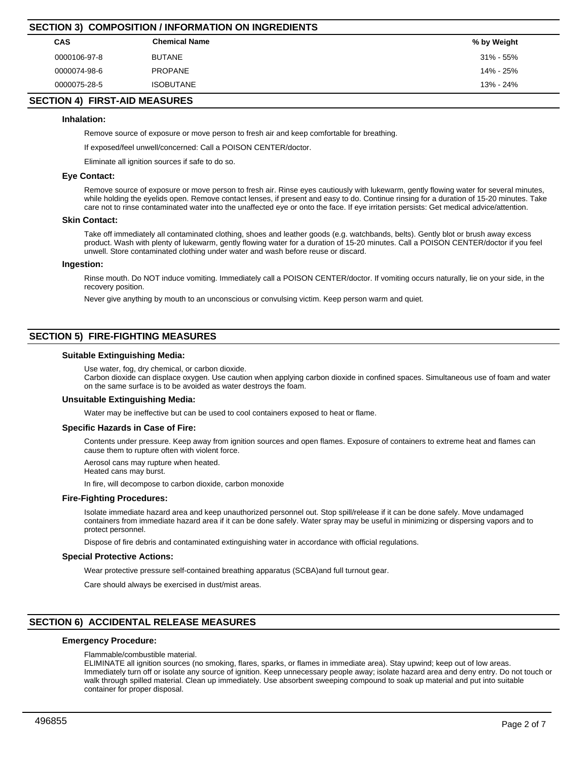| SECTION 3) COMPOSITION / INFORMATION ON INGREDIENTS |                      |             |  |  |  |  |  |
|-----------------------------------------------------|----------------------|-------------|--|--|--|--|--|
| <b>CAS</b>                                          | <b>Chemical Name</b> | % by Weight |  |  |  |  |  |
| 0000106-97-8                                        | <b>BUTANE</b>        | 31% - 55%   |  |  |  |  |  |
| 0000074-98-6                                        | PROPANE              | 14% - 25%   |  |  |  |  |  |
| 0000075-28-5                                        | <b>ISOBUTANE</b>     | 13% - 24%   |  |  |  |  |  |
|                                                     |                      |             |  |  |  |  |  |

# **SECTION 4) FIRST-AID MEASURES**

## **Inhalation:**

Remove source of exposure or move person to fresh air and keep comfortable for breathing.

If exposed/feel unwell/concerned: Call a POISON CENTER/doctor.

Eliminate all ignition sources if safe to do so.

**SECTION 3) COMPOSITION / INFORMATION ON INGREDIENTS**

## **Eye Contact:**

Remove source of exposure or move person to fresh air. Rinse eyes cautiously with lukewarm, gently flowing water for several minutes, while holding the eyelids open. Remove contact lenses, if present and easy to do. Continue rinsing for a duration of 15-20 minutes. Take care not to rinse contaminated water into the unaffected eye or onto the face. If eye irritation persists: Get medical advice/attention.

#### **Skin Contact:**

Take off immediately all contaminated clothing, shoes and leather goods (e.g. watchbands, belts). Gently blot or brush away excess product. Wash with plenty of lukewarm, gently flowing water for a duration of 15-20 minutes. Call a POISON CENTER/doctor if you feel unwell. Store contaminated clothing under water and wash before reuse or discard.

#### **Ingestion:**

Rinse mouth. Do NOT induce vomiting. Immediately call a POISON CENTER/doctor. If vomiting occurs naturally, lie on your side, in the recovery position.

Never give anything by mouth to an unconscious or convulsing victim. Keep person warm and quiet.

## **SECTION 5) FIRE-FIGHTING MEASURES**

#### **Suitable Extinguishing Media:**

Use water, fog, dry chemical, or carbon dioxide.

Carbon dioxide can displace oxygen. Use caution when applying carbon dioxide in confined spaces. Simultaneous use of foam and water on the same surface is to be avoided as water destroys the foam.

#### **Unsuitable Extinguishing Media:**

Water may be ineffective but can be used to cool containers exposed to heat or flame.

#### **Specific Hazards in Case of Fire:**

Contents under pressure. Keep away from ignition sources and open flames. Exposure of containers to extreme heat and flames can cause them to rupture often with violent force.

Aerosol cans may rupture when heated.

Heated cans may burst.

In fire, will decompose to carbon dioxide, carbon monoxide

#### **Fire-Fighting Procedures:**

Isolate immediate hazard area and keep unauthorized personnel out. Stop spill/release if it can be done safely. Move undamaged containers from immediate hazard area if it can be done safely. Water spray may be useful in minimizing or dispersing vapors and to protect personnel.

Dispose of fire debris and contaminated extinguishing water in accordance with official regulations.

#### **Special Protective Actions:**

Wear protective pressure self-contained breathing apparatus (SCBA)and full turnout gear.

Care should always be exercised in dust/mist areas.

# **SECTION 6) ACCIDENTAL RELEASE MEASURES**

## **Emergency Procedure:**

Flammable/combustible material.

ELIMINATE all ignition sources (no smoking, flares, sparks, or flames in immediate area). Stay upwind; keep out of low areas. Immediately turn off or isolate any source of ignition. Keep unnecessary people away; isolate hazard area and deny entry. Do not touch or walk through spilled material. Clean up immediately. Use absorbent sweeping compound to soak up material and put into suitable container for proper disposal.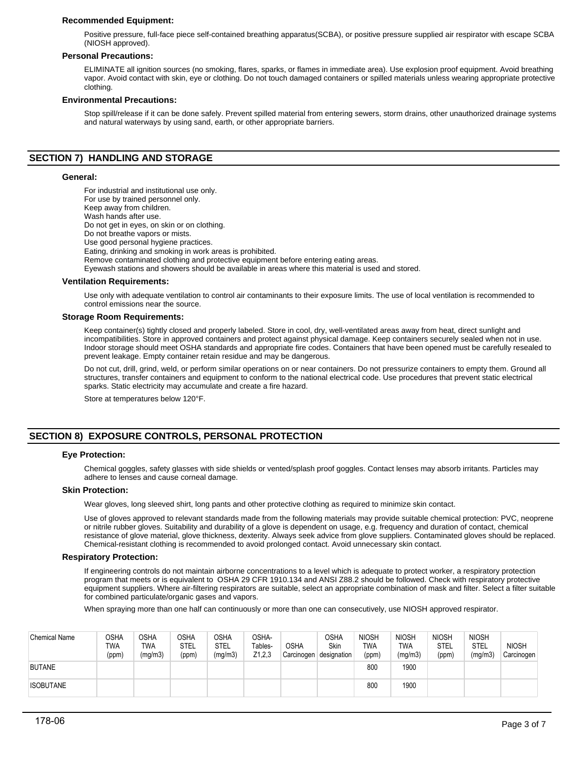## **Recommended Equipment:**

Positive pressure, full-face piece self-contained breathing apparatus(SCBA), or positive pressure supplied air respirator with escape SCBA (NIOSH approved).

## **Personal Precautions:**

ELIMINATE all ignition sources (no smoking, flares, sparks, or flames in immediate area). Use explosion proof equipment. Avoid breathing vapor. Avoid contact with skin, eye or clothing. Do not touch damaged containers or spilled materials unless wearing appropriate protective clothing.

## **Environmental Precautions:**

Stop spill/release if it can be done safely. Prevent spilled material from entering sewers, storm drains, other unauthorized drainage systems and natural waterways by using sand, earth, or other appropriate barriers.

# **SECTION 7) HANDLING AND STORAGE**

## **General:**

For industrial and institutional use only. For use by trained personnel only. Keep away from children. Wash hands after use. Do not get in eyes, on skin or on clothing. Do not breathe vapors or mists. Use good personal hygiene practices. Eating, drinking and smoking in work areas is prohibited. Remove contaminated clothing and protective equipment before entering eating areas. Eyewash stations and showers should be available in areas where this material is used and stored.

#### **Ventilation Requirements:**

Use only with adequate ventilation to control air contaminants to their exposure limits. The use of local ventilation is recommended to control emissions near the source.

#### **Storage Room Requirements:**

Keep container(s) tightly closed and properly labeled. Store in cool, dry, well-ventilated areas away from heat, direct sunlight and incompatibilities. Store in approved containers and protect against physical damage. Keep containers securely sealed when not in use. Indoor storage should meet OSHA standards and appropriate fire codes. Containers that have been opened must be carefully resealed to prevent leakage. Empty container retain residue and may be dangerous.

Do not cut, drill, grind, weld, or perform similar operations on or near containers. Do not pressurize containers to empty them. Ground all structures, transfer containers and equipment to conform to the national electrical code. Use procedures that prevent static electrical sparks. Static electricity may accumulate and create a fire hazard.

Store at temperatures below 120°F.

# **SECTION 8) EXPOSURE CONTROLS, PERSONAL PROTECTION**

#### **Eye Protection:**

Chemical goggles, safety glasses with side shields or vented/splash proof goggles. Contact lenses may absorb irritants. Particles may adhere to lenses and cause corneal damage.

## **Skin Protection:**

Wear gloves, long sleeved shirt, long pants and other protective clothing as required to minimize skin contact.

Use of gloves approved to relevant standards made from the following materials may provide suitable chemical protection: PVC, neoprene or nitrile rubber gloves. Suitability and durability of a glove is dependent on usage, e.g. frequency and duration of contact, chemical resistance of glove material, glove thickness, dexterity. Always seek advice from glove suppliers. Contaminated gloves should be replaced. Chemical-resistant clothing is recommended to avoid prolonged contact. Avoid unnecessary skin contact.

#### **Respiratory Protection:**

If engineering controls do not maintain airborne concentrations to a level which is adequate to protect worker, a respiratory protection program that meets or is equivalent to OSHA 29 CFR 1910.134 and ANSI Z88.2 should be followed. Check with respiratory protective equipment suppliers. Where air-filtering respirators are suitable, select an appropriate combination of mask and filter. Select a filter suitable for combined particulate/organic gases and vapors.

When spraying more than one half can continuously or more than one can consecutively, use NIOSH approved respirator.

| <b>Chemical Name</b> | OSHA<br>TWA<br>(ppm) | <b>OSHA</b><br><b>TWA</b><br>(mg/m3) | <b>OSHA</b><br>STEL<br>(ppm) | <b>OSHA</b><br>STEL<br>(mg/m3) | OSHA-<br>Tables-<br>Z1,2,3 | <b>OSHA</b><br>Carcinogen | <b>OSHA</b><br>Skin<br>designation | <b>NIOSH</b><br>TWA<br>(ppm) | <b>NIOSH</b><br>TWA<br>(mg/m3) | <b>NIOSH</b><br>STEL<br>(ppm) | <b>NIOSH</b><br><b>STEL</b><br>(mg/m3) | <b>NIOSH</b><br>Carcinogen |
|----------------------|----------------------|--------------------------------------|------------------------------|--------------------------------|----------------------------|---------------------------|------------------------------------|------------------------------|--------------------------------|-------------------------------|----------------------------------------|----------------------------|
| <b>BUTANE</b>        |                      |                                      |                              |                                |                            |                           |                                    | 800                          | 1900                           |                               |                                        |                            |
| <b>ISOBUTANE</b>     |                      |                                      |                              |                                |                            |                           |                                    | 800                          | 1900                           |                               |                                        |                            |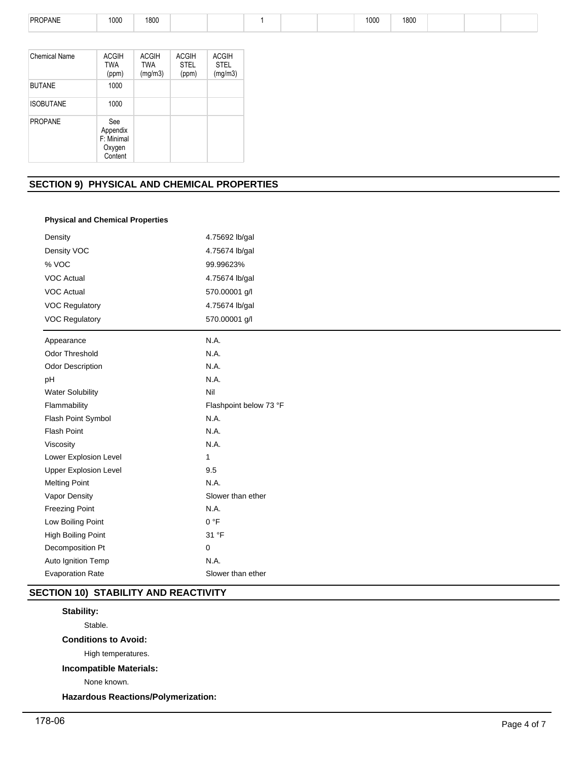| PROPANE | 1000 | 1800 |  |  | 1000 | 1800 |  |  |
|---------|------|------|--|--|------|------|--|--|
|         |      |      |  |  |      |      |  |  |

| Chemical Name    | <b>ACGIH</b><br><b>TWA</b><br>(ppm)                | <b>ACGIH</b><br><b>TWA</b><br>(mg/m3) | <b>ACGIH</b><br><b>STEL</b><br>(ppm) | <b>ACGIH</b><br><b>STEL</b><br>(mg/m3) |
|------------------|----------------------------------------------------|---------------------------------------|--------------------------------------|----------------------------------------|
| <b>BUTANE</b>    | 1000                                               |                                       |                                      |                                        |
| <b>ISOBUTANE</b> | 1000                                               |                                       |                                      |                                        |
| <b>PROPANE</b>   | See<br>Appendix<br>F: Minimal<br>Oxygen<br>Content |                                       |                                      |                                        |

# **SECTION 9) PHYSICAL AND CHEMICAL PROPERTIES**

# **Physical and Chemical Properties**

| Density                      | 4.75692 lb/gal         |  |  |  |  |
|------------------------------|------------------------|--|--|--|--|
| Density VOC                  | 4.75674 lb/gal         |  |  |  |  |
| % VOC                        | 99.99623%              |  |  |  |  |
| <b>VOC Actual</b>            | 4.75674 lb/gal         |  |  |  |  |
| <b>VOC Actual</b>            | 570.00001 g/l          |  |  |  |  |
| <b>VOC Regulatory</b>        | 4.75674 lb/gal         |  |  |  |  |
| <b>VOC Regulatory</b>        | 570.00001 g/l          |  |  |  |  |
| Appearance                   | N.A.                   |  |  |  |  |
| <b>Odor Threshold</b>        | N.A.                   |  |  |  |  |
| <b>Odor Description</b>      | N.A.                   |  |  |  |  |
| pH                           | N.A.                   |  |  |  |  |
| <b>Water Solubility</b>      | Nil                    |  |  |  |  |
| Flammability                 | Flashpoint below 73 °F |  |  |  |  |
| Flash Point Symbol           | N.A.                   |  |  |  |  |
| Flash Point                  | N.A.                   |  |  |  |  |
| Viscosity                    | N.A.                   |  |  |  |  |
| Lower Explosion Level        | 1                      |  |  |  |  |
| <b>Upper Explosion Level</b> | 9.5                    |  |  |  |  |
| <b>Melting Point</b>         | N.A.                   |  |  |  |  |
| Vapor Density                | Slower than ether      |  |  |  |  |
| <b>Freezing Point</b>        | N.A.                   |  |  |  |  |
| Low Boiling Point            | 0 °F                   |  |  |  |  |
| High Boiling Point           | 31 °F                  |  |  |  |  |
| Decomposition Pt             | 0                      |  |  |  |  |
| Auto Ignition Temp           | N.A.                   |  |  |  |  |
| <b>Evaporation Rate</b>      | Slower than ether      |  |  |  |  |

# **SECTION 10) STABILITY AND REACTIVITY**

# **Stability:**

Stable.

# **Conditions to Avoid:**

High temperatures.

# **Incompatible Materials:**

None known.

**Hazardous Reactions/Polymerization:**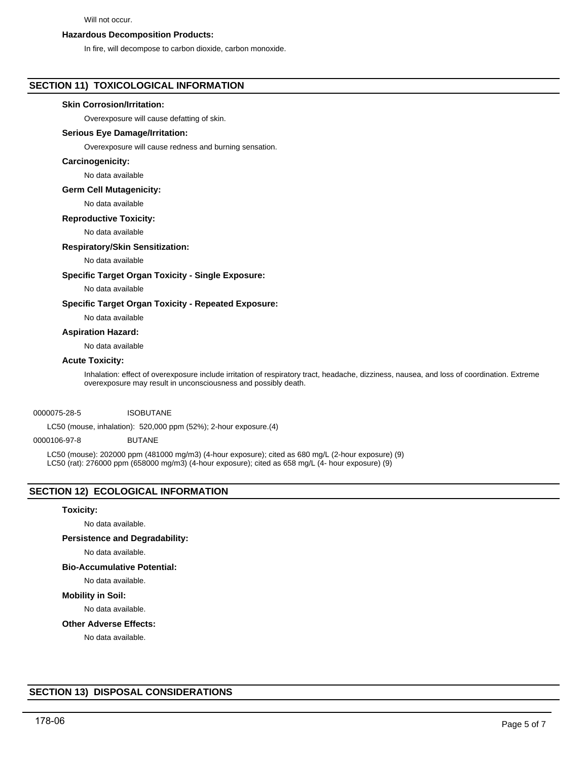## Will not occur.

## **Hazardous Decomposition Products:**

In fire, will decompose to carbon dioxide, carbon monoxide.

## **SECTION 11) TOXICOLOGICAL INFORMATION**

## **Skin Corrosion/Irritation:**

Overexposure will cause defatting of skin.

## **Serious Eye Damage/Irritation:**

Overexposure will cause redness and burning sensation.

#### **Carcinogenicity:**

No data available

## **Germ Cell Mutagenicity:**

No data available

## **Reproductive Toxicity:**

No data available

## **Respiratory/Skin Sensitization:**

## No data available

## **Specific Target Organ Toxicity - Single Exposure:**

No data available

## **Specific Target Organ Toxicity - Repeated Exposure:**

No data available

#### **Aspiration Hazard:**

No data available

## **Acute Toxicity:**

Inhalation: effect of overexposure include irritation of respiratory tract, headache, dizziness, nausea, and loss of coordination. Extreme overexposure may result in unconsciousness and possibly death.

#### 0000075-28-5 ISOBUTANE

LC50 (mouse, inhalation): 520,000 ppm (52%); 2-hour exposure.(4)

#### 0000106-97-8 BUTANE

LC50 (mouse): 202000 ppm (481000 mg/m3) (4-hour exposure); cited as 680 mg/L (2-hour exposure) (9) LC50 (rat): 276000 ppm (658000 mg/m3) (4-hour exposure); cited as 658 mg/L (4- hour exposure) (9)

# **SECTION 12) ECOLOGICAL INFORMATION**

#### **Toxicity:**

No data available.

## **Persistence and Degradability:**

No data available.

## **Bio-Accumulative Potential:**

No data available.

# **Mobility in Soil:**

No data available.

# **Other Adverse Effects:**

No data available.

# **SECTION 13) DISPOSAL CONSIDERATIONS**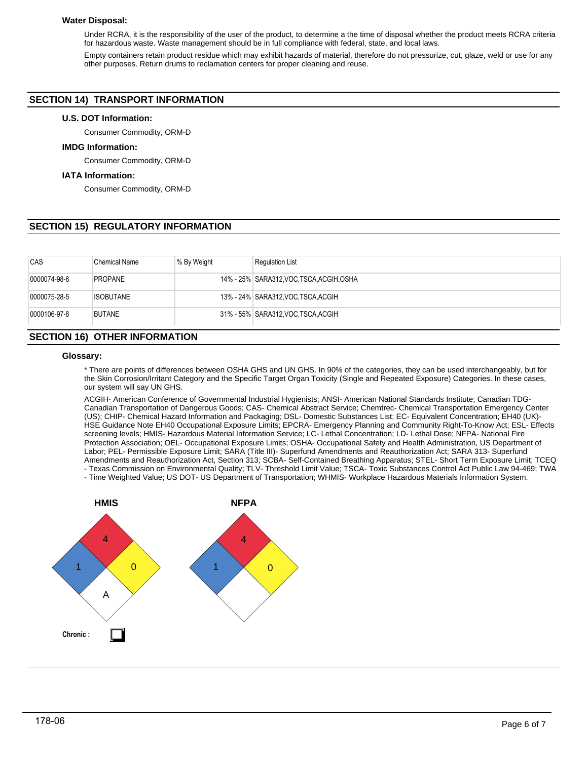## **Water Disposal:**

Under RCRA, it is the responsibility of the user of the product, to determine a the time of disposal whether the product meets RCRA criteria for hazardous waste. Waste management should be in full compliance with federal, state, and local laws.

Empty containers retain product residue which may exhibit hazards of material, therefore do not pressurize, cut, glaze, weld or use for any other purposes. Return drums to reclamation centers for proper cleaning and reuse.

# **SECTION 14) TRANSPORT INFORMATION**

## **U.S. DOT Information:**

Consumer Commodity, ORM-D

## **IMDG Information:**

Consumer Commodity, ORM-D

## **IATA Information:**

Consumer Commodity, ORM-D

# **SECTION 15) REGULATORY INFORMATION**

| CAS          | <b>Chemical Name</b> | % By Weight | <b>Requlation List</b>                   |
|--------------|----------------------|-------------|------------------------------------------|
| 0000074-98-6 | <b>PROPANE</b>       |             | 14% - 25% SARA312, VOC TSCA, ACGIH, OSHA |
| 0000075-28-5 | <b>ISOBUTANE</b>     |             | 13% - 24% SARA312, VOC TSCA, ACGIH       |
| 0000106-97-8 | <b>BUTANE</b>        |             | 31% - 55% SARA312, VOC TSCA, ACGIH       |

# **SECTION 16) OTHER INFORMATION**

## **Glossary:**

\* There are points of differences between OSHA GHS and UN GHS. In 90% of the categories, they can be used interchangeably, but for the Skin Corrosion/Irritant Category and the Specific Target Organ Toxicity (Single and Repeated Exposure) Categories. In these cases, our system will say UN GHS.

ACGIH- American Conference of Governmental Industrial Hygienists; ANSI- American National Standards Institute; Canadian TDG-Canadian Transportation of Dangerous Goods; CAS- Chemical Abstract Service; Chemtrec- Chemical Transportation Emergency Center (US); CHIP- Chemical Hazard Information and Packaging; DSL- Domestic Substances List; EC- Equivalent Concentration; EH40 (UK)- HSE Guidance Note EH40 Occupational Exposure Limits; EPCRA- Emergency Planning and Community Right-To-Know Act; ESL- Effects screening levels; HMIS- Hazardous Material Information Service; LC- Lethal Concentration; LD- Lethal Dose; NFPA- National Fire Protection Association; OEL- Occupational Exposure Limits; OSHA- Occupational Safety and Health Administration, US Department of Labor; PEL- Permissible Exposure Limit; SARA (Title III)- Superfund Amendments and Reauthorization Act; SARA 313- Superfund Amendments and Reauthorization Act, Section 313; SCBA- Self-Contained Breathing Apparatus; STEL- Short Term Exposure Limit; TCEQ - Texas Commission on Environmental Quality; TLV- Threshold Limit Value; TSCA- Toxic Substances Control Act Public Law 94-469; TWA

- Time Weighted Value; US DOT- US Department of Transportation; WHMIS- Workplace Hazardous Materials Information System.